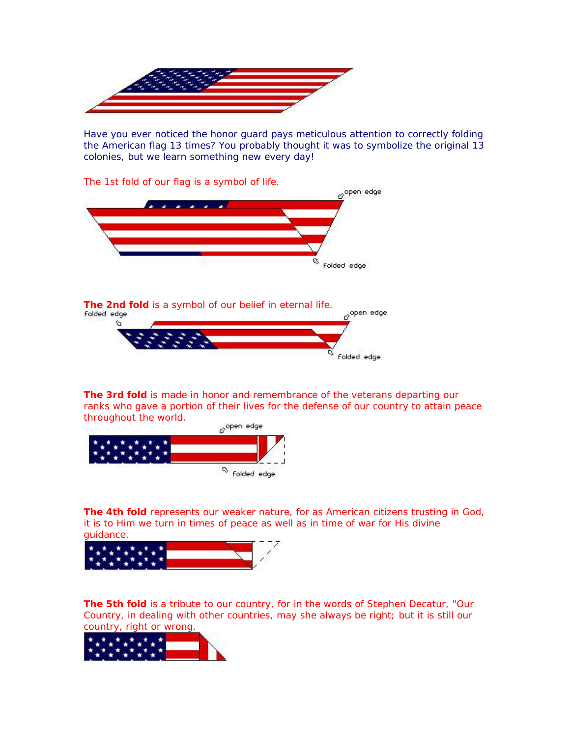

Have you ever noticed the honor guard pays meticulous attention to correctly folding the American flag 13 times? You probably thought it was to symbolize the original 13 colonies, but we learn something new every day!



**The 3rd fold** is made in honor and remembrance of the veterans departing our ranks who gave a portion of their lives for the defense of our country to attain peace throughout the world.



**The 4th fold** represents our weaker nature, for as American citizens trusting in God, it is to Him we turn in times of peace as well as in time of war for His divine guidance.



**The 5th fold** is a tribute to our country, for in the words of Stephen Decatur, "Our Country, in dealing with other countries, may she always be right; but it is still our country, right or wrong.

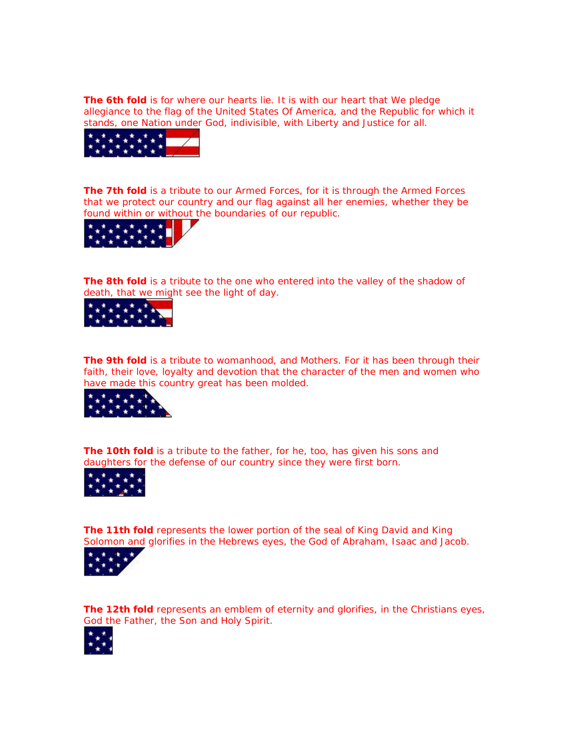**The 6th fold** is for where our hearts lie. It is with our heart that We pledge allegiance to the flag of the United States Of America, and the Republic for which it stands, one Nation under God, indivisible, with Liberty and Justice for all.



**The 7th fold** is a tribute to our Armed Forces, for it is through the Armed Forces that we protect our country and our flag against all her enemies, whether they be found within or without the boundaries of our republic.



**The 8th fold** is a tribute to the one who entered into the valley of the shadow of death, that we might see the light of day.



**The 9th fold** is a tribute to womanhood, and Mothers. For it has been through their faith, their love, loyalty and devotion that the character of the men and women who have made this country great has been molded.



**The 10th fold** is a tribute to the father, for he, too, has given his sons and daughters for the defense of our country since they were first born.



**The 11th fold** represents the lower portion of the seal of King David and King Solomon and glorifies in the Hebrews eyes, the God of Abraham, Isaac and Jacob.



**The 12th fold** represents an emblem of eternity and glorifies, in the Christians eyes, God the Father, the Son and Holy Spirit.